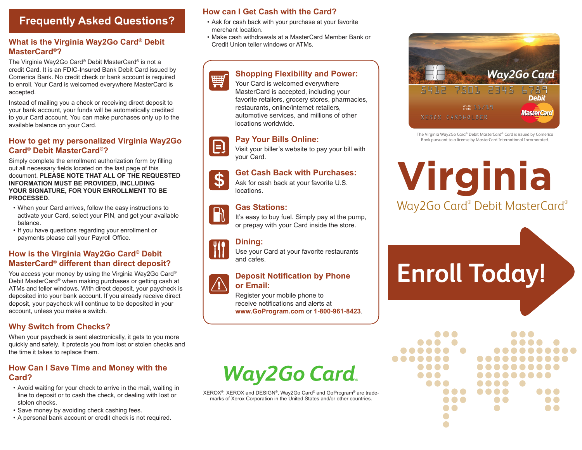### **Frequently Asked Questions?**

#### **What is the Virginia Way2Go Card® Debit MasterCard®?**

The Virginia Way2Go Card® Debit MasterCard® is not a credit Card. It is an FDIC-Insured Bank Debit Card issued by Comerica Bank. No credit check or bank account is required to enroll. Your Card is welcomed everywhere MasterCard is accepted.

Instead of mailing you a check or receiving direct deposit to your bank account, your funds will be automatically credited to your Card account. You can make purchases only up to the available balance on your Card.

#### **How to get my personalized Virginia Way2Go Card® Debit MasterCard®?**

Simply complete the enrollment authorization form by filling out all necessary fields located on the last page of this document. **PLEASE NOTE THAT ALL OF THE REQUESTED INFORMATION MUST BE PROVIDED, INCLUDING YOUR SIGNATURE, FOR YOUR ENROLLMENT TO BE PROCESSED.**

- When your Card arrives, follow the easy instructions to activate your Card, select your PIN, and get your available balance.
- If you have questions regarding your enrollment or payments please call your Payroll Office.

#### **How is the Virginia Way2Go Card® Debit MasterCard® different than direct deposit?**

You access your money by using the Virginia Way2Go Card® Debit MasterCard® when making purchases or getting cash at ATMs and teller windows. With direct deposit, your paycheck is deposited into your bank account. If you already receive direct deposit, your paycheck will continue to be deposited in your account, unless you make a switch.

#### **Why Switch from Checks?**

When your paycheck is sent electronically, it gets to you more quickly and safely. It protects you from lost or stolen checks and the time it takes to replace them.

#### **How Can I Save Time and Money with the Card?**

- Avoid waiting for your check to arrive in the mail, waiting in line to deposit or to cash the check, or dealing with lost or stolen checks.
- Save money by avoiding check cashing fees.
- A personal bank account or credit check is not required.

#### **How can I Get Cash with the Card?**

- Ask for cash back with your purchase at your favorite merchant location.
- Make cash withdrawals at a MasterCard Member Bank or Credit Union teller windows or ATMs.

#### **Shopping Flexibility and Power:**



Your Card is welcomed everywhere MasterCard is accepted, including your favorite retailers, grocery stores, pharmacies, restaurants, online/internet retailers, automotive services, and millions of other locations worldwide.

#### **Pay Your Bills Online:**



Visit your biller's website to pay your bill with your Card.

#### **Get Cash Back with Purchases:**

\$ Ask for cash back at your favorite U.S. locations.

#### **Gas Stations:**



## or prepay with your Card inside the store.

It's easy to buy fuel. Simply pay at the pump,

#### **Dining:**

Use your Card at your favorite restaurants and cafes.

#### **Deposit Notification by Phone or Email:**

Register your mobile phone to receive notifications and alerts at **www.GoProgram.com** or **1-800-961-8423**.

## **Way2Go Card.**

XEROX®, XEROX and DESIGN®, Way2Go Card® and GoProgram® are trademarks of Xerox Corporation in the United States and/or other countries.



The Virginia Way2Go Card® Debit MasterCard® Card is issued by Comerica Bank pursuant to a license by MasterCard International Incorporated.

## **Virginia** Way2Go Card® Debit MasterCard®

# **Enroll Today!**